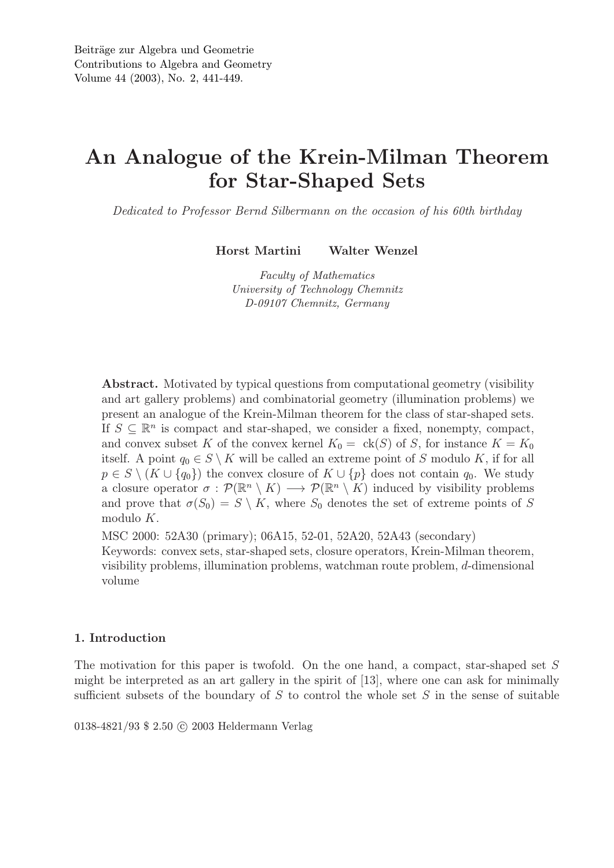# An Analogue of the Krein-Milman Theorem for Star-Shaped Sets

*Dedicated to Professor Bernd Silbermann on the occasion of his 60th birthday*

Horst Martini Walter Wenzel

*Faculty of Mathematics University of Technology Chemnitz D-09107 Chemnitz, Germany*

Abstract. Motivated by typical questions from computational geometry (visibility and art gallery problems) and combinatorial geometry (illumination problems) we present an analogue of the Krein-Milman theorem for the class of star-shaped sets. If  $S \subseteq \mathbb{R}^n$  is compact and star-shaped, we consider a fixed, nonempty, compact, and convex subset K of the convex kernel  $K_0 = \text{ck}(S)$  of S, for instance  $K = K_0$ itself. A point  $q_0 \in S \setminus K$  will be called an extreme point of S modulo K, if for all  $p \in S \setminus (K \cup \{q_0\})$  the convex closure of  $K \cup \{p\}$  does not contain  $q_0$ . We study a closure operator  $\sigma : \mathcal{P}(\mathbb{R}^n \setminus K) \longrightarrow \mathcal{P}(\mathbb{R}^n \setminus K)$  induced by visibility problems and prove that  $\sigma(S_0) = S \setminus K$ , where  $S_0$  denotes the set of extreme points of S modulo K.

MSC 2000: 52A30 (primary); 06A15, 52-01, 52A20, 52A43 (secondary) Keywords: convex sets, star-shaped sets, closure operators, Krein-Milman theorem, visibility problems, illumination problems, watchman route problem, d-dimensional volume

## 1. Introduction

The motivation for this paper is twofold. On the one hand, a compact, star-shaped set S might be interpreted as an art gallery in the spirit of [13], where one can ask for minimally sufficient subsets of the boundary of  $S$  to control the whole set  $S$  in the sense of suitable

0138-4821/93 \$ 2.50 C 2003 Heldermann Verlag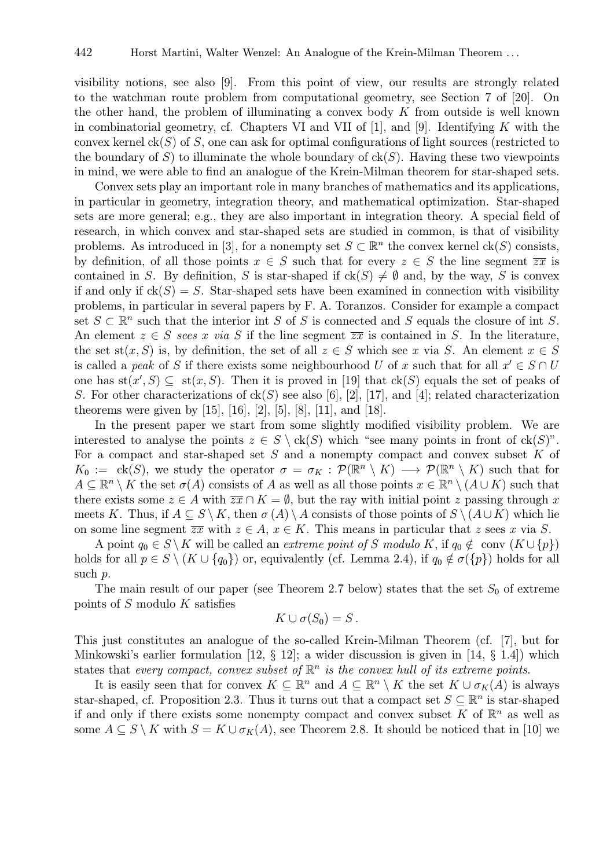visibility notions, see also [9]. From this point of view, our results are strongly related to the watchman route problem from computational geometry, see Section 7 of [20]. On the other hand, the problem of illuminating a convex body  $K$  from outside is well known in combinatorial geometry, cf. Chapters VI and VII of  $[1]$ , and  $[9]$ . Identifying K with the convex kernel  $ck(S)$  of S, one can ask for optimal configurations of light sources (restricted to the boundary of S) to illuminate the whole boundary of  $c(k)$ . Having these two viewpoints in mind, we were able to find an analogue of the Krein-Milman theorem for star-shaped sets.

Convex sets play an important role in many branches of mathematics and its applications, in particular in geometry, integration theory, and mathematical optimization. Star-shaped sets are more general; e.g., they are also important in integration theory. A special field of research, in which convex and star-shaped sets are studied in common, is that of visibility problems. As introduced in [3], for a nonempty set  $S \subset \mathbb{R}^n$  the convex kernel  $ck(S)$  consists, by definition, of all those points  $x \in S$  such that for every  $z \in S$  the line segment  $\overline{zx}$  is contained in S. By definition, S is star-shaped if  $ck(S) \neq \emptyset$  and, by the way, S is convex if and only if  $ck(S) = S$ . Star-shaped sets have been examined in connection with visibility problems, in particular in several papers by F. A. Toranzos. Consider for example a compact set  $S \subset \mathbb{R}^n$  such that the interior int S of S is connected and S equals the closure of int S. An element  $z \in S$  sees x *via* S if the line segment  $\overline{zx}$  is contained in S. In the literature, the set st(x, S) is, by definition, the set of all  $z \in S$  which see x via S. An element  $x \in S$ is called a *peak* of S if there exists some neighbourhood U of x such that for all  $x' \in S \cap U$ one has  $st(x', S) \subseteq st(x, S)$ . Then it is proved in [19] that  $ck(S)$  equals the set of peaks of S. For other characterizations of  $ck(S)$  see also [6], [2], [17], and [4]; related characterization theorems were given by [15], [16], [2], [5], [8], [11], and [18].

In the present paper we start from some slightly modified visibility problem. We are interested to analyse the points  $z \in S \setminus ck(S)$  which "see many points in front of  $ck(S)$ ". For a compact and star-shaped set  $S$  and a nonempty compact and convex subset  $K$  of  $K_0 := \text{ck}(S)$ , we study the operator  $\sigma = \sigma_K : \mathcal{P}(\mathbb{R}^n \setminus K) \longrightarrow \mathcal{P}(\mathbb{R}^n \setminus K)$  such that for  $A \subseteq \mathbb{R}^n \setminus K$  the set  $\sigma(A)$  consists of A as well as all those points  $x \in \mathbb{R}^n \setminus (A \cup K)$  such that there exists some  $z \in A$  with  $\overline{zx} \cap K = \emptyset$ , but the ray with initial point z passing through x meets K. Thus, if  $A \subseteq S \setminus K$ , then  $\sigma(A) \setminus A$  consists of those points of  $S \setminus (A \cup K)$  which lie on some line segment  $\overline{zx}$  with  $z \in A$ ,  $x \in K$ . This means in particular that z sees x via S.

A point  $q_0 \in S \backslash K$  will be called an *extreme point of* S modulo K, if  $q_0 \notin \text{conv } (K \cup \{p\})$ holds for all  $p \in S \setminus (K \cup \{q_0\})$  or, equivalently (cf. Lemma 2.4), if  $q_0 \notin \sigma(\{p\})$  holds for all such p.

The main result of our paper (see Theorem 2.7 below) states that the set  $S_0$  of extreme points of S modulo K satisfies

$$
K\cup \sigma(S_0)=S.
$$

This just constitutes an analogue of the so-called Krein-Milman Theorem (cf. [7], but for Minkowski's earlier formulation [12, § 12]; a wider discussion is given in [14, § 1.4]) which states that *every compact, convex subset of*  $\mathbb{R}^n$  *is the convex hull of its extreme points.* 

It is easily seen that for convex  $K \subseteq \mathbb{R}^n$  and  $A \subseteq \mathbb{R}^n \setminus K$  the set  $K \cup \sigma_K(A)$  is always star-shaped, cf. Proposition 2.3. Thus it turns out that a compact set  $S \subseteq \mathbb{R}^n$  is star-shaped if and only if there exists some nonempty compact and convex subset K of  $\mathbb{R}^n$  as well as some  $A \subseteq S \setminus K$  with  $S = K \cup \sigma_K(A)$ , see Theorem 2.8. It should be noticed that in [10] we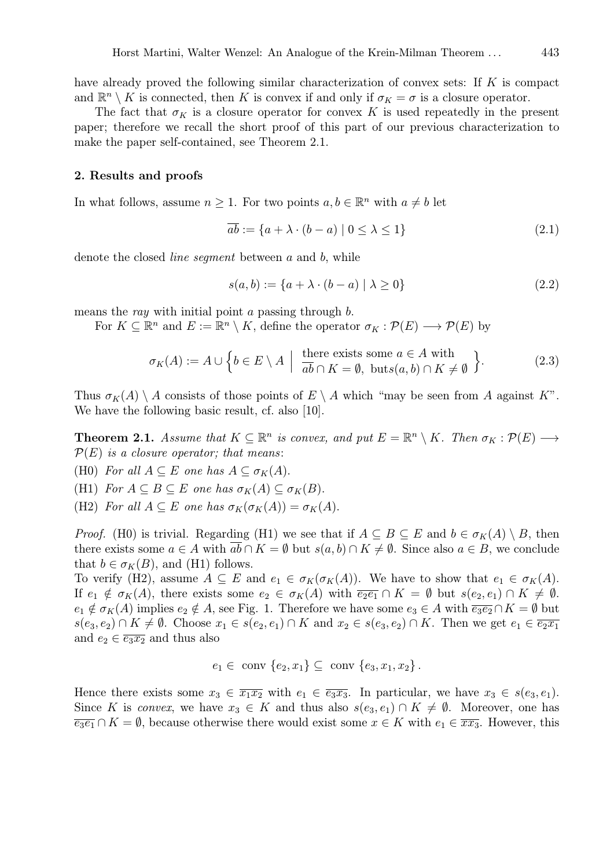have already proved the following similar characterization of convex sets: If K is compact and  $\mathbb{R}^n \setminus K$  is connected, then K is convex if and only if  $\sigma_K = \sigma$  is a closure operator.

The fact that  $\sigma_K$  is a closure operator for convex K is used repeatedly in the present paper; therefore we recall the short proof of this part of our previous characterization to make the paper self-contained, see Theorem 2.1.

#### 2. Results and proofs

In what follows, assume  $n \geq 1$ . For two points  $a, b \in \mathbb{R}^n$  with  $a \neq b$  let

$$
\overline{ab} := \{ a + \lambda \cdot (b - a) \mid 0 \le \lambda \le 1 \}
$$
\n
$$
(2.1)
$$

denote the closed *line segment* between a and b, while

$$
s(a,b) := \{a + \lambda \cdot (b - a) \mid \lambda \ge 0\}
$$
\n
$$
(2.2)
$$

means the *ray* with initial point a passing through b.

For  $K \subseteq \mathbb{R}^n$  and  $E := \mathbb{R}^n \setminus K$ , define the operator  $\sigma_K : \mathcal{P}(E) \longrightarrow \mathcal{P}(E)$  by

$$
\sigma_K(A) := A \cup \left\{ b \in E \setminus A \: \Big| \: \begin{array}{c} \text{there exists some } a \in A \text{ with} \\ \overline{ab} \cap K = \emptyset, \: \text{buts}(a, b) \cap K \neq \emptyset \end{array} \right\}.
$$
 (2.3)

Thus  $\sigma_K(A) \setminus A$  consists of those points of  $E \setminus A$  which "may be seen from A against K". We have the following basic result, cf. also [10].

**Theorem 2.1.** Assume that  $K \subseteq \mathbb{R}^n$  is convex, and put  $E = \mathbb{R}^n \setminus K$ . Then  $\sigma_K : \mathcal{P}(E) \longrightarrow$ P(E) *is a closure operator; that means*:

(H0) *For all*  $A \subseteq E$  *one has*  $A \subseteq \sigma_K(A)$ .

(H1) *For*  $A \subseteq B \subseteq E$  *one* has  $\sigma_K(A) \subseteq \sigma_K(B)$ .

(H2) *For all*  $A \subseteq E$  *one has*  $\sigma_K(\sigma_K(A)) = \sigma_K(A)$ .

*Proof.* (H0) is trivial. Regarding (H1) we see that if  $A \subseteq B \subseteq E$  and  $b \in \sigma_K(A) \setminus B$ , then there exists some  $a \in A$  with  $\overline{ab} \cap K = \emptyset$  but  $s(a, b) \cap K \neq \emptyset$ . Since also  $a \in B$ , we conclude that  $b \in \sigma_K(B)$ , and (H1) follows.

To verify (H2), assume  $A \subseteq E$  and  $e_1 \in \sigma_K(\sigma_K(A))$ . We have to show that  $e_1 \in \sigma_K(A)$ . If  $e_1 \notin \sigma_K(A)$ , there exists some  $e_2 \in \sigma_K(A)$  with  $\overline{e_2e_1} \cap K = \emptyset$  but  $s(e_2, e_1) \cap K \neq \emptyset$ .  $e_1 \notin \sigma_K(A)$  implies  $e_2 \notin A$ , see Fig. 1. Therefore we have some  $e_3 \in A$  with  $\overline{e_3e_2} \cap K = \emptyset$  but  $s(e_3, e_2) \cap K \neq \emptyset$ . Choose  $x_1 \in s(e_2, e_1) \cap K$  and  $x_2 \in s(e_3, e_2) \cap K$ . Then we get  $e_1 \in \overline{e_2x_1}$ and  $e_2 \in \overline{e_3x_2}$  and thus also

$$
e_1 \in \text{ conv } \{e_2, x_1\} \subseteq \text{ conv } \{e_3, x_1, x_2\}.
$$

Hence there exists some  $x_3 \in \overline{x_1x_2}$  with  $e_1 \in \overline{e_3x_3}$ . In particular, we have  $x_3 \in s(e_3, e_1)$ . Since K is *convex*, we have  $x_3 \in K$  and thus also  $s(e_3, e_1) \cap K \neq \emptyset$ . Moreover, one has  $\overline{e_3e_1} \cap K = \emptyset$ , because otherwise there would exist some  $x \in K$  with  $e_1 \in \overline{xx_3}$ . However, this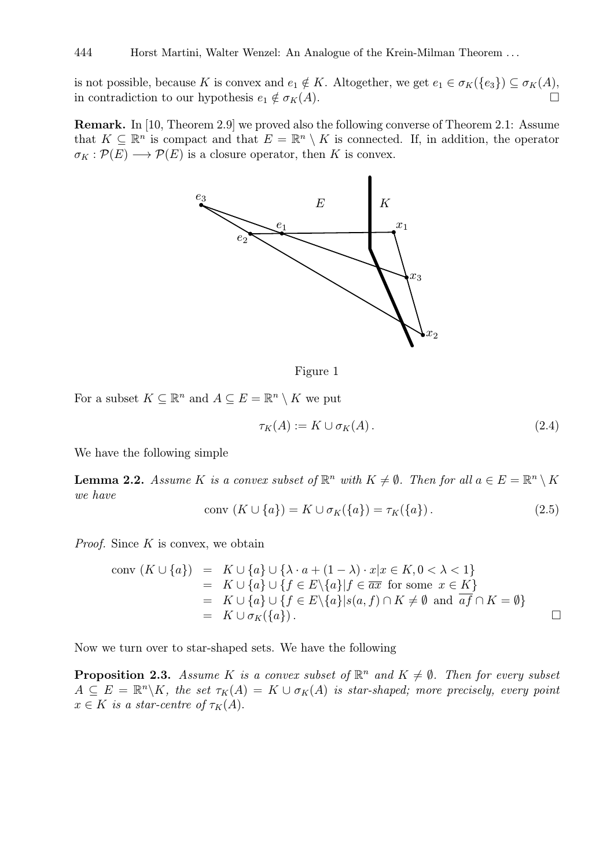is not possible, because K is convex and  $e_1 \notin K$ . Altogether, we get  $e_1 \in \sigma_K({e_3}) \subseteq \sigma_K(A)$ , in contradiction to our hypothesis  $e_1 \notin \sigma_K(A)$ .

Remark. In [10, Theorem 2.9] we proved also the following converse of Theorem 2.1: Assume that  $K \subseteq \mathbb{R}^n$  is compact and that  $E = \mathbb{R}^n \setminus K$  is connected. If, in addition, the operator  $\sigma_K : \mathcal{P}(E) \longrightarrow \mathcal{P}(E)$  is a closure operator, then K is convex.



Figure 1

For a subset  $K \subseteq \mathbb{R}^n$  and  $A \subseteq E = \mathbb{R}^n \setminus K$  we put

$$
\tau_K(A) := K \cup \sigma_K(A). \tag{2.4}
$$

We have the following simple

**Lemma 2.2.** Assume K is a convex subset of  $\mathbb{R}^n$  with  $K \neq \emptyset$ . Then for all  $a \in E = \mathbb{R}^n \setminus K$ *we have*

conv 
$$
(K \cup \{a\}) = K \cup \sigma_K(\{a\}) = \tau_K(\{a\}).
$$
 (2.5)

*Proof.* Since K is convex, we obtain

$$
\begin{array}{rcl}\n\text{conv}(K \cup \{a\}) & = & K \cup \{a\} \cup \{\lambda \cdot a + (1 - \lambda) \cdot x | x \in K, 0 < \lambda < 1\} \\
& = & K \cup \{a\} \cup \{f \in E \setminus \{a\} | f \in \overline{ax} \text{ for some } x \in K\} \\
& = & K \cup \{a\} \cup \{f \in E \setminus \{a\} | s(a, f) \cap K \neq \emptyset \text{ and } \overline{af} \cap K = \emptyset\} \\
& = & K \cup \sigma_K(\{a\}).\n\end{array}
$$

Now we turn over to star-shaped sets. We have the following

**Proposition 2.3.** Assume K is a convex subset of  $\mathbb{R}^n$  and  $K \neq \emptyset$ . Then for every subset  $A \subseteq E = \mathbb{R}^n \backslash K$ , the set  $\tau_K(A) = K \cup \sigma_K(A)$  is star-shaped; more precisely, every point  $x \in K$  *is a star-centre of*  $\tau_K(A)$ .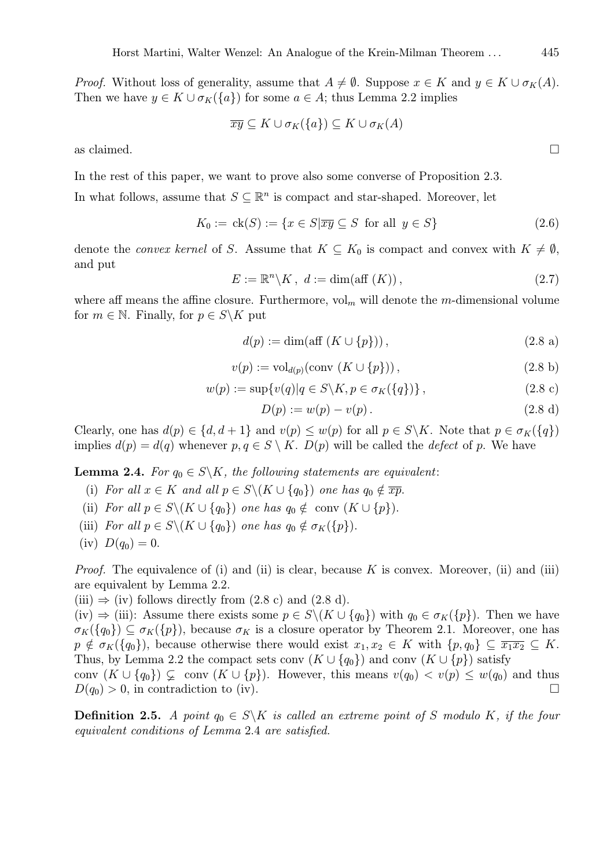*Proof.* Without loss of generality, assume that  $A \neq \emptyset$ . Suppose  $x \in K$  and  $y \in K \cup \sigma_K(A)$ . Then we have  $y \in K \cup \sigma_K({a})$  for some  $a \in A$ ; thus Lemma 2.2 implies

$$
\overline{xy} \subseteq K \cup \sigma_K(\{a\}) \subseteq K \cup \sigma_K(A)
$$

as claimed.  $\square$ 

In the rest of this paper, we want to prove also some converse of Proposition 2.3.

In what follows, assume that  $S \subseteq \mathbb{R}^n$  is compact and star-shaped. Moreover, let

$$
K_0 := \text{ck}(S) := \{ x \in S | \overline{xy} \subseteq S \text{ for all } y \in S \}
$$
\n
$$
(2.6)
$$

denote the *convex kernel* of S. Assume that  $K \subseteq K_0$  is compact and convex with  $K \neq \emptyset$ , and put

$$
E := \mathbb{R}^n \backslash K, \ d := \dim(\text{aff }(K)), \tag{2.7}
$$

where aff means the affine closure. Furthermore,  $\mathrm{vol}_m$  will denote the m-dimensional volume for  $m \in \mathbb{N}$ . Finally, for  $p \in S \backslash K$  put

$$
d(p) := \dim(\text{aff } (K \cup \{p\})),\tag{2.8 a}
$$

$$
v(p) := \text{vol}_{d(p)}(\text{conv }(K \cup \{p\})),\tag{2.8 b}
$$

$$
w(p) := \sup \{ v(q) | q \in S \backslash K, p \in \sigma_K(\{q\}) \}, \tag{2.8 c}
$$

$$
D(p) := w(p) - v(p). \t\t(2.8 d)
$$

Clearly, one has  $d(p) \in \{d, d+1\}$  and  $v(p) \leq w(p)$  for all  $p \in S \backslash K$ . Note that  $p \in \sigma_K(\{q\})$ implies  $d(p) = d(q)$  whenever  $p, q \in S \setminus K$ .  $D(p)$  will be called the *defect* of p. We have

**Lemma 2.4.** *For*  $q_0 \in S \backslash K$ *, the following statements are equivalent:* 

- (i) *For all*  $x \in K$  *and all*  $p \in S \setminus (K \cup \{q_0\})$  *one has*  $q_0 \notin \overline{xp}$ .
- (ii) *For all*  $p \in S \setminus (K \cup \{q_0\})$  *one has*  $q_0 \notin \text{conv } (K \cup \{p\})$ .
- (iii) *For all*  $p \in S \setminus (K \cup \{q_0\})$  *one has*  $q_0 \notin \sigma_K(\{p\}).$
- (iv)  $D(q_0) = 0$ .

*Proof.* The equivalence of (i) and (ii) is clear, because K is convex. Moreover, (ii) and (iii) are equivalent by Lemma 2.2.

(iii)  $\Rightarrow$  (iv) follows directly from (2.8 c) and (2.8 d).

(iv)  $\Rightarrow$  (iii): Assume there exists some  $p \in S \backslash (K \cup \{q_0\})$  with  $q_0 \in \sigma_K(\{p\})$ . Then we have  $\sigma_K({q_0}) \subseteq \sigma_K({p})$ , because  $\sigma_K$  is a closure operator by Theorem 2.1. Moreover, one has  $p \notin \sigma_K({q_0})$ , because otherwise there would exist  $x_1, x_2 \in K$  with  ${p, q_0} \subseteq \overline{x_1 x_2} \subseteq K$ . Thus, by Lemma 2.2 the compact sets conv  $(K \cup \{q_0\})$  and conv  $(K \cup \{p\})$  satisfy

conv  $(K \cup \{q_0\}) \subsetneq \text{conv } (K \cup \{p\})$ . However, this means  $v(q_0) < v(p) \leq w(q_0)$  and thus  $D(q_0) > 0$ , in contradiction to (iv).

**Definition 2.5.** *A point*  $q_0 \in S \backslash K$  *is called an extreme point of* S *modulo* K, *if the four equivalent conditions of Lemma* 2.4 *are satisfied.*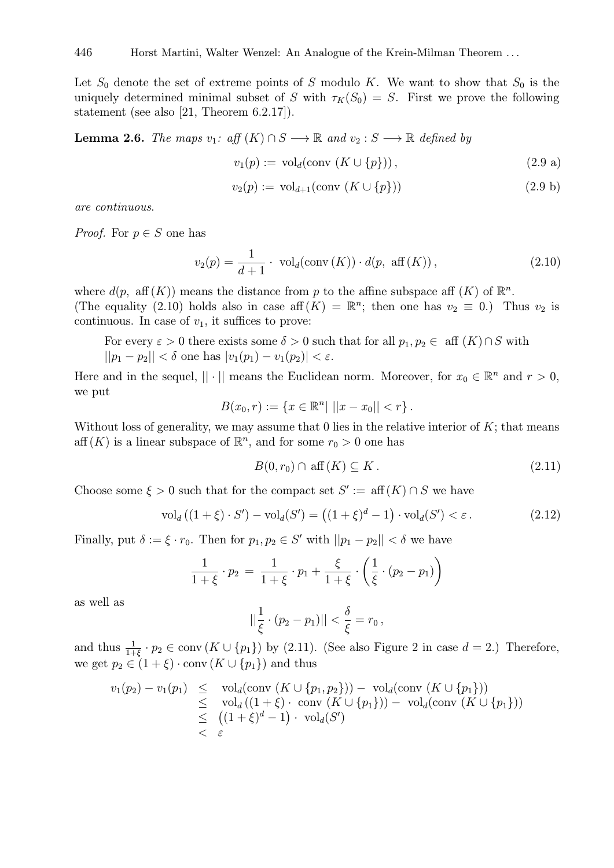Let  $S_0$  denote the set of extreme points of S modulo K. We want to show that  $S_0$  is the uniquely determined minimal subset of S with  $\tau_K(S_0) = S$ . First we prove the following statement (see also [21, Theorem 6.2.17]).

**Lemma 2.6.** *The maps*  $v_1$ :  $aff(K) \cap S \longrightarrow \mathbb{R}$  and  $v_2 : S \longrightarrow \mathbb{R}$  defined by

$$
v_1(p) := \text{vol}_d(\text{conv }(K \cup \{p\})),\tag{2.9 a}
$$

$$
v_2(p) := \text{vol}_{d+1}(\text{conv }(K \cup \{p\})) \tag{2.9 b}
$$

*are continuous*.

*Proof.* For  $p \in S$  one has

$$
v_2(p) = \frac{1}{d+1} \cdot \text{vol}_d(\text{conv}(K)) \cdot d(p, \text{ aff}(K)),
$$
\n(2.10)

where  $d(p, \text{ aff}(K))$  means the distance from p to the affine subspace aff  $(K)$  of  $\mathbb{R}^n$ . (The equality (2.10) holds also in case aff  $(K) = \mathbb{R}^n$ ; then one has  $v_2 \equiv 0$ .) Thus  $v_2$  is continuous. In case of  $v_1$ , it suffices to prove:

For every  $\varepsilon > 0$  there exists some  $\delta > 0$  such that for all  $p_1, p_2 \in \text{aff } (K) \cap S$  with  $||p_1 - p_2|| < \delta$  one has  $|v_1(p_1) - v_1(p_2)| < \varepsilon$ .

Here and in the sequel,  $|| \cdot ||$  means the Euclidean norm. Moreover, for  $x_0 \in \mathbb{R}^n$  and  $r > 0$ , we put

$$
B(x_0,r) := \{ x \in \mathbb{R}^n | ||x - x_0|| < r \}.
$$

Without loss of generality, we may assume that  $0$  lies in the relative interior of  $K$ ; that means  $\text{aff}(K)$  is a linear subspace of  $\mathbb{R}^n$ , and for some  $r_0 > 0$  one has

$$
B(0, r_0) \cap \text{aff}(K) \subseteq K. \tag{2.11}
$$

Choose some  $\xi > 0$  such that for the compact set  $S' := \text{aff}(K) \cap S$  we have

$$
\text{vol}_d\left((1+\xi)\cdot S'\right)-\text{vol}_d(S')=\left((1+\xi)^d-1\right)\cdot\text{vol}_d(S')<\varepsilon\,.
$$
\n(2.12)

Finally, put  $\delta := \xi \cdot r_0$ . Then for  $p_1, p_2 \in S'$  with  $||p_1 - p_2|| < \delta$  we have

$$
\frac{1}{1+\xi} \cdot p_2 = \frac{1}{1+\xi} \cdot p_1 + \frac{\xi}{1+\xi} \cdot \left(\frac{1}{\xi} \cdot (p_2 - p_1)\right)
$$

as well as

$$
||\frac{1}{\xi} \cdot (p_2 - p_1)|| < \frac{\delta}{\xi} = r_0,
$$

and thus  $\frac{1}{1+\xi} \cdot p_2 \in \text{conv}(K \cup \{p_1\})$  by (2.11). (See also Figure 2 in case  $d = 2$ .) Therefore, we get  $p_2 \in (1 + \xi) \cdot \text{conv}(K \cup \{p_1\})$  and thus

$$
v_1(p_2) - v_1(p_1) \leq \text{vol}_d(\text{conv } (K \cup \{p_1, p_2\})) - \text{vol}_d(\text{conv } (K \cup \{p_1\}))
$$
  
\n
$$
\leq \text{vol}_d((1 + \xi) \cdot \text{conv } (K \cup \{p_1\})) - \text{vol}_d(\text{conv } (K \cup \{p_1\}))
$$
  
\n
$$
\leq ((1 + \xi)^d - 1) \cdot \text{vol}_d(S')
$$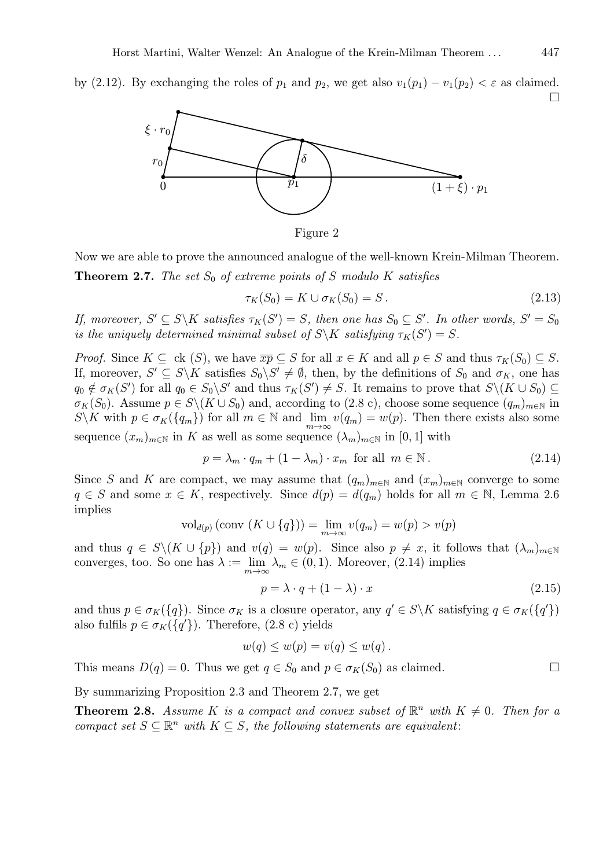by (2.12). By exchanging the roles of  $p_1$  and  $p_2$ , we get also  $v_1(p_1) - v_1(p_2) < \varepsilon$  as claimed.  $\Box$ 



Figure 2

Now we are able to prove the announced analogue of the well-known Krein-Milman Theorem. **Theorem 2.7.** The set  $S_0$  of extreme points of S modulo K satisfies

$$
\tau_K(S_0) = K \cup \sigma_K(S_0) = S. \tag{2.13}
$$

*If, moreover,*  $S' \subseteq S \backslash K$  *satisfies*  $\tau_K(S') = S$ *, then one has*  $S_0 \subseteq S'$ *. In other words,*  $S' = S_0$ *is the uniquely determined minimal subset of*  $S \backslash K$  *satisfying*  $\tau_K(S') = S$ .

*Proof.* Since  $K \subseteq \text{ck } (S)$ , we have  $\overline{xp} \subseteq S$  for all  $x \in K$  and all  $p \in S$  and thus  $\tau_K(S_0) \subseteq S$ . If, moreover,  $S' \subseteq S \backslash K$  satisfies  $S_0 \backslash S' \neq \emptyset$ , then, by the definitions of  $S_0$  and  $\sigma_K$ , one has  $q_0 \notin \sigma_K(S')$  for all  $q_0 \in S_0 \backslash S'$  and thus  $\tau_K(S') \neq S$ . It remains to prove that  $S \backslash (K \cup S_0) \subseteq$  $\sigma_K(S_0)$ . Assume  $p \in S \setminus (K \cup S_0)$  and, according to (2.8 c), choose some sequence  $(q_m)_{m \in \mathbb{N}}$  in  $S\backslash K$  with  $p \in \sigma_K(\{q_m\})$  for all  $m \in \mathbb{N}$  and  $\lim_{m\to\infty} v(q_m) = w(p)$ . Then there exists also some sequence  $(x_m)_{m\in\mathbb{N}}$  in K as well as some sequence  $(\lambda_m)_{m\in\mathbb{N}}$  in [0, 1] with

$$
p = \lambda_m \cdot q_m + (1 - \lambda_m) \cdot x_m \text{ for all } m \in \mathbb{N}.
$$
 (2.14)

Since S and K are compact, we may assume that  $(q_m)_{m\in\mathbb{N}}$  and  $(x_m)_{m\in\mathbb{N}}$  converge to some  $q \in S$  and some  $x \in K$ , respectively. Since  $d(p) = d(q_m)$  holds for all  $m \in \mathbb{N}$ , Lemma 2.6 implies

$$
\mathrm{vol}_{d(p)}\left(\mathrm{conv}\left(K\cup\{q\}\right)\right)=\lim_{m\to\infty}v(q_m)=w(p)>v(p)
$$

and thus  $q \in S \setminus (K \cup \{p\})$  and  $v(q) = w(p)$ . Since also  $p \neq x$ , it follows that  $(\lambda_m)_{m \in \mathbb{N}}$ converges, too. So one has  $\lambda := \lim_{m \to \infty} \lambda_m \in (0, 1)$ . Moreover, (2.14) implies

$$
p = \lambda \cdot q + (1 - \lambda) \cdot x \tag{2.15}
$$

and thus  $p \in \sigma_K({q})$ . Since  $\sigma_K$  is a closure operator, any  $q' \in S \backslash K$  satisfying  $q \in \sigma_K({q'})$ also fulfils  $p \in \sigma_K({q'}).$  Therefore, (2.8 c) yields

$$
w(q) \le w(p) = v(q) \le w(q).
$$

This means  $D(q) = 0$ . Thus we get  $q \in S_0$  and  $p \in \sigma_K(S_0)$  as claimed.

By summarizing Proposition 2.3 and Theorem 2.7, we get

**Theorem 2.8.** Assume K is a compact and convex subset of  $\mathbb{R}^n$  with  $K \neq 0$ . Then for a *compact set*  $S \subseteq \mathbb{R}^n$  *with*  $K \subseteq S$ *, the following statements are equivalent:*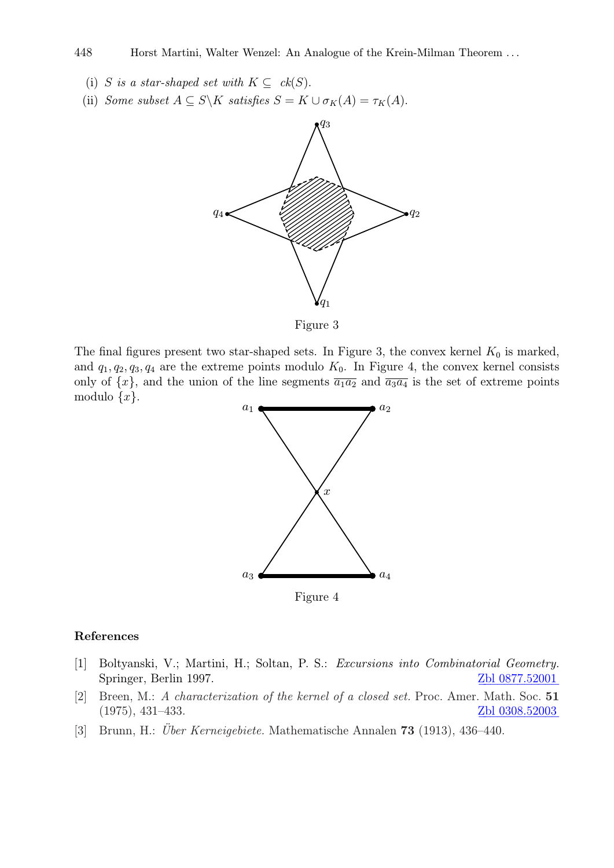## 448 Horst Martini, Walter Wenzel: An Analogue of the Krein-Milman Theorem . . .

- (i) S is a star-shaped set with  $K \subseteq ck(S)$ .
- (ii) *Some subset*  $A \subseteq S\backslash K$  *satisfies*  $S = K \cup \sigma_K(A) = \tau_K(A)$ .



Figure 3

The final figures present two star-shaped sets. In Figure 3, the convex kernel  $K_0$  is marked, and  $q_1, q_2, q_3, q_4$  are the extreme points modulo  $K_0$ . In Figure 4, the convex kernel consists only of  $\{x\}$ , and the union of the line segments  $\overline{a_1a_2}$  and  $\overline{a_3a_4}$  is the set of extreme points modulo  $\{x\}.$ 



Figure 4

## References

- [1] Boltyanski, V.; Martini, H.; Soltan, P. S.: *Excursions into Combinatorial Geometry.* Springer, Berlin 1997. 2Dl 0877.52001
- [2] Breen, M.: *A characterization of the kernel of a closed set.* Proc. Amer. Math. Soc. 51  $(1975), 431–433.$  Zbl  $0308.52003$
- [3] Brunn, H.: *Über Kerneigebiete.* Mathematische Annalen **73** (1913), 436–440.